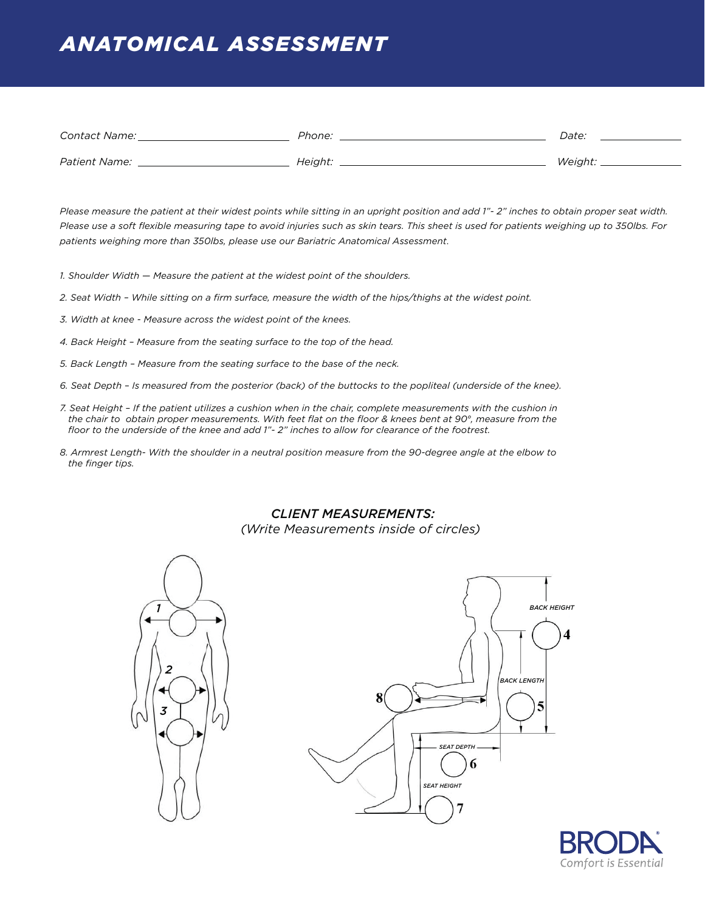## *ANATOMICAL ASSESSMENT*

| <b>Contact Name:</b> | Phone:  | <i>Date:</i>   |
|----------------------|---------|----------------|
| <i>Patient Name:</i> | Height: | <i>Weight:</i> |

*Please measure the patient at their widest points while sitting in an upright position and add 1"- 2" inches to obtain proper seat width. Please use a soft flexible measuring tape to avoid injuries such as skin tears. This sheet is used for patients weighing up to 350lbs. For patients weighing more than 350lbs, please use our Bariatric Anatomical Assessment*.

*1. Shoulder Width — Measure the patient at the widest point of the shoulders.*

*2. Seat Width – While sitting on a firm surface, measure the width of the hips/thighs at the widest point.*

- *3. Width at knee Measure across the widest point of the knees.*
- *4. Back Height Measure from the seating surface to the top of the head.*
- *5. Back Length Measure from the seating surface to the base of the neck.*
- *6. Seat Depth Is measured from the posterior (back) of the buttocks to the popliteal (underside of the knee).*
- *7. Seat Height If the patient utilizes a cushion when in the chair, complete measurements with the cushion in the chair to obtain proper measurements. With feet flat on the floor & knees bent at 90°, measure from the floor to the underside of the knee and add 1"- 2" inches to allow for clearance of the footrest.*
- *8. Armrest Length- With the shoulder in a neutral position measure from the 90-degree angle at the elbow to the finger tips.*

### *CLIENT MEASUREMENTS:*

*(Write Measurements inside of circles)*